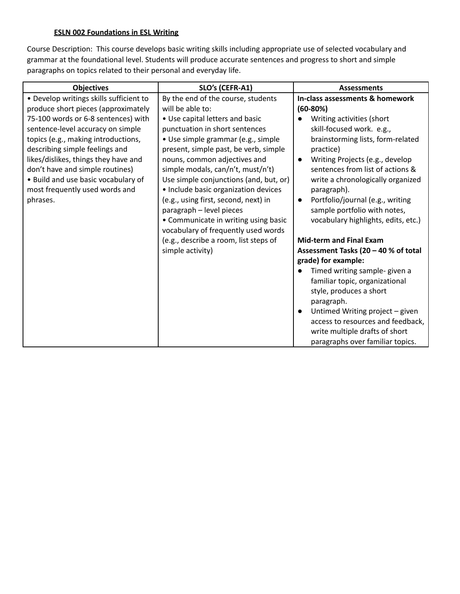## **ESLN 002 Foundations in ESL Writing**

Course Description: This course develops basic writing skills including appropriate use of selected vocabulary and grammar at the foundational level. Students will produce accurate sentences and progress to short and simple paragraphs on topics related to their personal and everyday life.

| <b>Objectives</b>                       | SLO's (CEFR-A1)                        | <b>Assessments</b>                            |  |
|-----------------------------------------|----------------------------------------|-----------------------------------------------|--|
| · Develop writings skills sufficient to | By the end of the course, students     | In-class assessments & homework               |  |
| produce short pieces (approximately     | will be able to:                       | $(60-80%)$                                    |  |
| 75-100 words or 6-8 sentences) with     | • Use capital letters and basic        | Writing activities (short                     |  |
| sentence-level accuracy on simple       | punctuation in short sentences         | skill-focused work. e.g.,                     |  |
| topics (e.g., making introductions,     | • Use simple grammar (e.g., simple     | brainstorming lists, form-related             |  |
| describing simple feelings and          | present, simple past, be verb, simple  | practice)                                     |  |
| likes/dislikes, things they have and    | nouns, common adjectives and           | Writing Projects (e.g., develop               |  |
| don't have and simple routines)         | simple modals, can/n't, must/n't)      | sentences from list of actions &              |  |
| • Build and use basic vocabulary of     | Use simple conjunctions (and, but, or) | write a chronologically organized             |  |
| most frequently used words and          | · Include basic organization devices   | paragraph).                                   |  |
| phrases.                                | (e.g., using first, second, next) in   | Portfolio/journal (e.g., writing<br>$\bullet$ |  |
|                                         | paragraph - level pieces               | sample portfolio with notes,                  |  |
|                                         | • Communicate in writing using basic   | vocabulary highlights, edits, etc.)           |  |
|                                         | vocabulary of frequently used words    |                                               |  |
|                                         | (e.g., describe a room, list steps of  | <b>Mid-term and Final Exam</b>                |  |
|                                         | simple activity)                       | Assessment Tasks (20 - 40 % of total          |  |
|                                         |                                        | grade) for example:                           |  |
|                                         |                                        | Timed writing sample- given a                 |  |
|                                         |                                        | familiar topic, organizational                |  |
|                                         |                                        | style, produces a short                       |  |
|                                         |                                        | paragraph.                                    |  |
|                                         |                                        | Untimed Writing project - given               |  |
|                                         |                                        | access to resources and feedback,             |  |
|                                         |                                        | write multiple drafts of short                |  |
|                                         |                                        | paragraphs over familiar topics.              |  |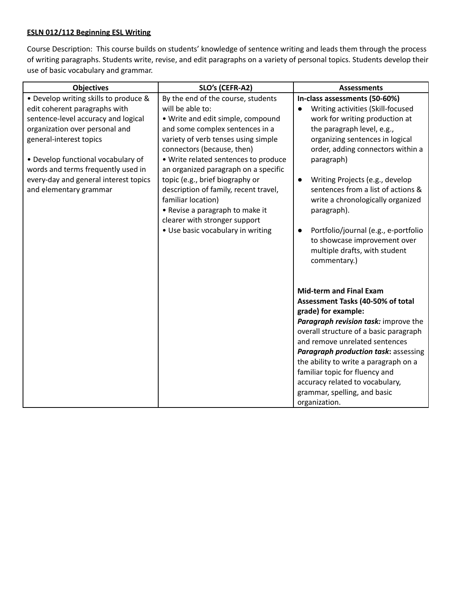## **ESLN 012/112 Beginning ESL Writing**

Course Description: This course builds on students' knowledge of sentence writing and leads them through the process of writing paragraphs. Students write, revise, and edit paragraphs on a variety of personal topics. Students develop their use of basic vocabulary and grammar.

| <b>Objectives</b>                                                                                                                                                                                                                                                                                                         | SLO's (CEFR-A2)                                                                                                                                                                                                                                                                                                                                                                                                                                                                                | <b>Assessments</b>                                                                                                                                                                                                                                                                                                                                                                                                                                                                          |
|---------------------------------------------------------------------------------------------------------------------------------------------------------------------------------------------------------------------------------------------------------------------------------------------------------------------------|------------------------------------------------------------------------------------------------------------------------------------------------------------------------------------------------------------------------------------------------------------------------------------------------------------------------------------------------------------------------------------------------------------------------------------------------------------------------------------------------|---------------------------------------------------------------------------------------------------------------------------------------------------------------------------------------------------------------------------------------------------------------------------------------------------------------------------------------------------------------------------------------------------------------------------------------------------------------------------------------------|
| • Develop writing skills to produce &<br>edit coherent paragraphs with<br>sentence-level accuracy and logical<br>organization over personal and<br>general-interest topics<br>• Develop functional vocabulary of<br>words and terms frequently used in<br>every-day and general interest topics<br>and elementary grammar | By the end of the course, students<br>will be able to:<br>. Write and edit simple, compound<br>and some complex sentences in a<br>variety of verb tenses using simple<br>connectors (because, then)<br>· Write related sentences to produce<br>an organized paragraph on a specific<br>topic (e.g., brief biography or<br>description of family, recent travel,<br>familiar location)<br>• Revise a paragraph to make it<br>clearer with stronger support<br>• Use basic vocabulary in writing | In-class assessments (50-60%)<br>Writing activities (Skill-focused<br>work for writing production at<br>the paragraph level, e.g.,<br>organizing sentences in logical<br>order, adding connectors within a<br>paragraph)<br>Writing Projects (e.g., develop<br>$\bullet$<br>sentences from a list of actions &<br>write a chronologically organized<br>paragraph).<br>Portfolio/journal (e.g., e-portfolio<br>to showcase improvement over<br>multiple drafts, with student<br>commentary.) |
|                                                                                                                                                                                                                                                                                                                           |                                                                                                                                                                                                                                                                                                                                                                                                                                                                                                | <b>Mid-term and Final Exam</b><br>Assessment Tasks (40-50% of total<br>grade) for example:<br>Paragraph revision task: improve the<br>overall structure of a basic paragraph<br>and remove unrelated sentences<br>Paragraph production task: assessing<br>the ability to write a paragraph on a<br>familiar topic for fluency and<br>accuracy related to vocabulary,<br>grammar, spelling, and basic<br>organization.                                                                       |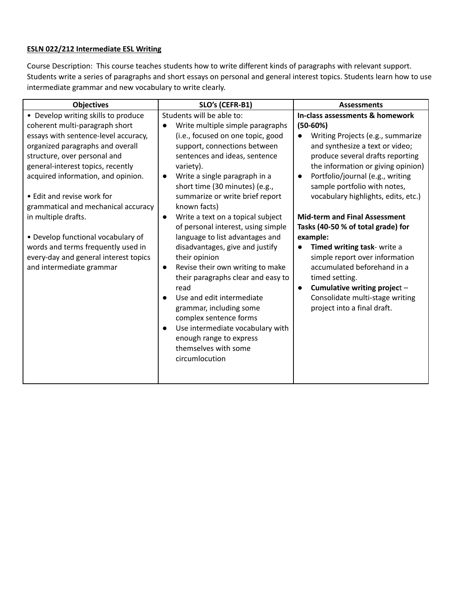## **ESLN 022/212 Intermediate ESL Writing**

Course Description: This course teaches students how to write different kinds of paragraphs with relevant support. Students write a series of paragraphs and short essays on personal and general interest topics. Students learn how to use intermediate grammar and new vocabulary to write clearly.

| <b>Objectives</b>                                                                                                                                                                                                                                                                                                                                        | SLO's (CEFR-B1)                                                                                                                                                                                                                                                                                                                                                                                             | <b>Assessments</b>                                                                                                                                                                                                                                                                                                                                                                                                 |  |
|----------------------------------------------------------------------------------------------------------------------------------------------------------------------------------------------------------------------------------------------------------------------------------------------------------------------------------------------------------|-------------------------------------------------------------------------------------------------------------------------------------------------------------------------------------------------------------------------------------------------------------------------------------------------------------------------------------------------------------------------------------------------------------|--------------------------------------------------------------------------------------------------------------------------------------------------------------------------------------------------------------------------------------------------------------------------------------------------------------------------------------------------------------------------------------------------------------------|--|
| • Develop writing skills to produce<br>coherent multi-paragraph short<br>essays with sentence-level accuracy,<br>organized paragraphs and overall<br>structure, over personal and<br>general-interest topics, recently<br>acquired information, and opinion.<br>• Edit and revise work for<br>grammatical and mechanical accuracy<br>in multiple drafts. | Students will be able to:<br>Write multiple simple paragraphs<br>(i.e., focused on one topic, good<br>support, connections between<br>sentences and ideas, sentence<br>variety).<br>Write a single paragraph in a<br>$\bullet$<br>short time (30 minutes) (e.g.,<br>summarize or write brief report<br>known facts)<br>Write a text on a topical subject<br>$\bullet$<br>of personal interest, using simple | In-class assessments & homework<br>$(50-60%)$<br>Writing Projects (e.g., summarize<br>$\bullet$<br>and synthesize a text or video;<br>produce several drafts reporting<br>the information or giving opinion)<br>Portfolio/journal (e.g., writing<br>$\bullet$<br>sample portfolio with notes,<br>vocabulary highlights, edits, etc.)<br><b>Mid-term and Final Assessment</b><br>Tasks (40-50 % of total grade) for |  |
| • Develop functional vocabulary of<br>words and terms frequently used in<br>every-day and general interest topics<br>and intermediate grammar                                                                                                                                                                                                            | language to list advantages and<br>disadvantages, give and justify<br>their opinion<br>Revise their own writing to make<br>$\bullet$<br>their paragraphs clear and easy to<br>read<br>Use and edit intermediate<br>$\bullet$<br>grammar, including some<br>complex sentence forms<br>Use intermediate vocabulary with<br>$\bullet$<br>enough range to express<br>themselves with some<br>circumlocution     | example:<br>Timed writing task- write a<br>simple report over information<br>accumulated beforehand in a<br>timed setting.<br>Cumulative writing project -<br>$\bullet$<br>Consolidate multi-stage writing<br>project into a final draft.                                                                                                                                                                          |  |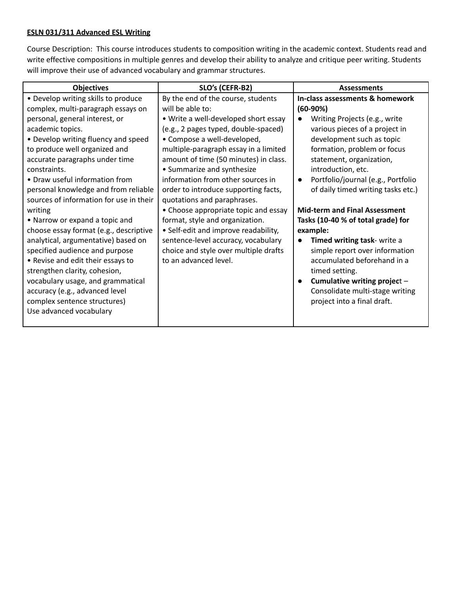## **ESLN 031/311 Advanced ESL Writing**

Course Description: This course introduces students to composition writing in the academic context. Students read and write effective compositions in multiple genres and develop their ability to analyze and critique peer writing. Students will improve their use of advanced vocabulary and grammar structures.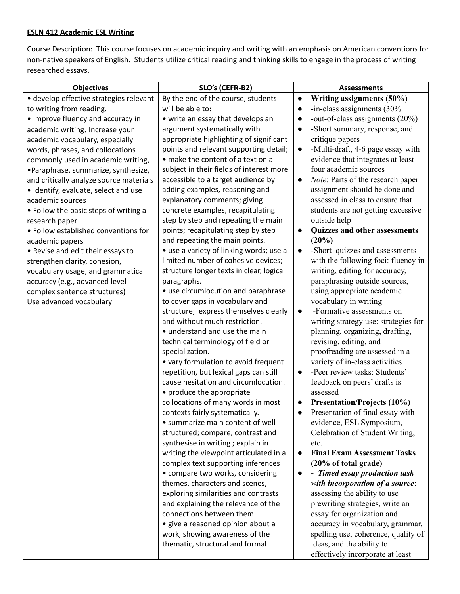## **ESLN 412 Academic ESL Writing**

Course Description: This course focuses on academic inquiry and writing with an emphasis on American conventions for non-native speakers of English. Students utilize critical reading and thinking skills to engage in the process of writing researched essays.

| <b>Objectives</b>                       | SLO's (CEFR-B2)                                                                | <b>Assessments</b>                                               |  |
|-----------------------------------------|--------------------------------------------------------------------------------|------------------------------------------------------------------|--|
| · develop effective strategies relevant | By the end of the course, students                                             | Writing assignments (50%)<br>$\bullet$                           |  |
| to writing from reading.                | will be able to:                                                               | -in-class assignments (30%                                       |  |
| • Improve fluency and accuracy in       | • write an essay that develops an                                              | -out-of-class assignments (20%)                                  |  |
| academic writing. Increase your         | argument systematically with                                                   | -Short summary, response, and                                    |  |
| academic vocabulary, especially         | appropriate highlighting of significant                                        | critique papers                                                  |  |
| words, phrases, and collocations        | points and relevant supporting detail;                                         | -Multi-draft, 4-6 page essay with                                |  |
| commonly used in academic writing,      | • make the content of a text on a                                              | evidence that integrates at least                                |  |
| •Paraphrase, summarize, synthesize,     | subject in their fields of interest more                                       | four academic sources                                            |  |
| and critically analyze source materials | accessible to a target audience by                                             | Note: Parts of the research paper<br>$\bullet$                   |  |
| • Identify, evaluate, select and use    | adding examples, reasoning and                                                 | assignment should be done and                                    |  |
| academic sources                        | explanatory comments; giving                                                   | assessed in class to ensure that                                 |  |
| • Follow the basic steps of writing a   | concrete examples, recapitulating                                              | students are not getting excessive                               |  |
| research paper                          | step by step and repeating the main                                            | outside help                                                     |  |
| • Follow established conventions for    | points; recapitulating step by step                                            | Quizzes and other assessments                                    |  |
| academic papers                         | and repeating the main points.                                                 | (20%)                                                            |  |
| • Revise and edit their essays to       | • use a variety of linking words; use a                                        | -Short quizzes and assessments                                   |  |
| strengthen clarity, cohesion,           | limited number of cohesive devices;                                            | with the following foci: fluency in                              |  |
| vocabulary usage, and grammatical       | structure longer texts in clear, logical                                       | writing, editing for accuracy,                                   |  |
| accuracy (e.g., advanced level          | paragraphs.                                                                    | paraphrasing outside sources,                                    |  |
| complex sentence structures)            | • use circumlocution and paraphrase                                            | using appropriate academic                                       |  |
| Use advanced vocabulary                 | to cover gaps in vocabulary and                                                | vocabulary in writing                                            |  |
|                                         | structure; express themselves clearly                                          | -Formative assessments on<br>$\bullet$                           |  |
|                                         | and without much restriction.                                                  | writing strategy use: strategies for                             |  |
|                                         | • understand and use the main                                                  | planning, organizing, drafting,                                  |  |
|                                         | technical terminology of field or                                              | revising, editing, and                                           |  |
|                                         | specialization.                                                                | proofreading are assessed in a<br>variety of in-class activities |  |
|                                         | • vary formulation to avoid frequent<br>repetition, but lexical gaps can still | -Peer review tasks: Students'<br>$\bullet$                       |  |
|                                         | cause hesitation and circumlocution.                                           | feedback on peers' drafts is                                     |  |
|                                         | • produce the appropriate                                                      | assessed                                                         |  |
|                                         | collocations of many words in most                                             | Presentation/Projects (10%)                                      |  |
|                                         | contexts fairly systematically.                                                | Presentation of final essay with                                 |  |
|                                         | • summarize main content of well                                               | evidence, ESL Symposium,                                         |  |
|                                         | structured; compare, contrast and                                              | Celebration of Student Writing,                                  |  |
|                                         | synthesise in writing; explain in                                              | etc.                                                             |  |
|                                         | writing the viewpoint articulated in a                                         | <b>Final Exam Assessment Tasks</b><br>$\bullet$                  |  |
|                                         | complex text supporting inferences                                             | (20% of total grade)                                             |  |
|                                         | • compare two works, considering                                               | - Timed essay production task                                    |  |
|                                         | themes, characters and scenes,                                                 | with incorporation of a source:                                  |  |
|                                         | exploring similarities and contrasts                                           | assessing the ability to use                                     |  |
|                                         | and explaining the relevance of the                                            | prewriting strategies, write an                                  |  |
|                                         | connections between them.                                                      | essay for organization and                                       |  |
|                                         | · give a reasoned opinion about a                                              | accuracy in vocabulary, grammar,                                 |  |
|                                         | work, showing awareness of the                                                 | spelling use, coherence, quality of                              |  |
|                                         | thematic, structural and formal                                                | ideas, and the ability to                                        |  |
|                                         |                                                                                | effectively incorporate at least                                 |  |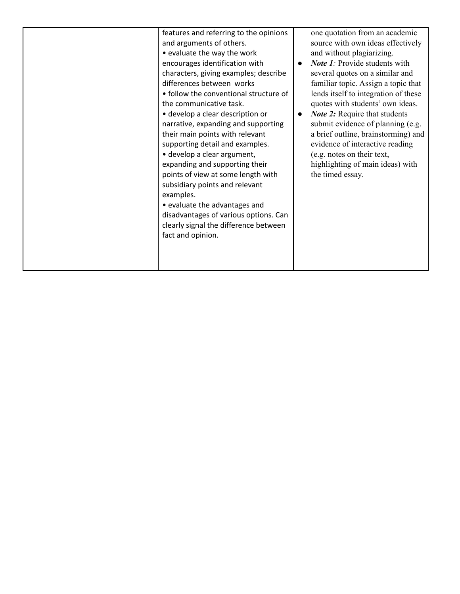| features and referring to the opinions | one quotation from an academic                    |
|----------------------------------------|---------------------------------------------------|
| and arguments of others.               | source with own ideas effectively                 |
| • evaluate the way the work            | and without plagiarizing.                         |
| encourages identification with         | <b>Note 1:</b> Provide students with<br>$\bullet$ |
| characters, giving examples; describe  | several quotes on a similar and                   |
| differences between works              | familiar topic. Assign a topic that               |
| • follow the conventional structure of | lends itself to integration of these              |
| the communicative task.                | quotes with students' own ideas.                  |
| • develop a clear description or       | <b>Note 2:</b> Require that students<br>$\bullet$ |
| narrative, expanding and supporting    | submit evidence of planning (e.g.                 |
| their main points with relevant        | a brief outline, brainstorming) and               |
| supporting detail and examples.        | evidence of interactive reading                   |
| · develop a clear argument,            | (e.g. notes on their text,                        |
| expanding and supporting their         | highlighting of main ideas) with                  |
| points of view at some length with     | the timed essay.                                  |
| subsidiary points and relevant         |                                                   |
| examples.                              |                                                   |
| • evaluate the advantages and          |                                                   |
| disadvantages of various options. Can  |                                                   |
| clearly signal the difference between  |                                                   |
| fact and opinion.                      |                                                   |
|                                        |                                                   |
|                                        |                                                   |
|                                        |                                                   |
|                                        |                                                   |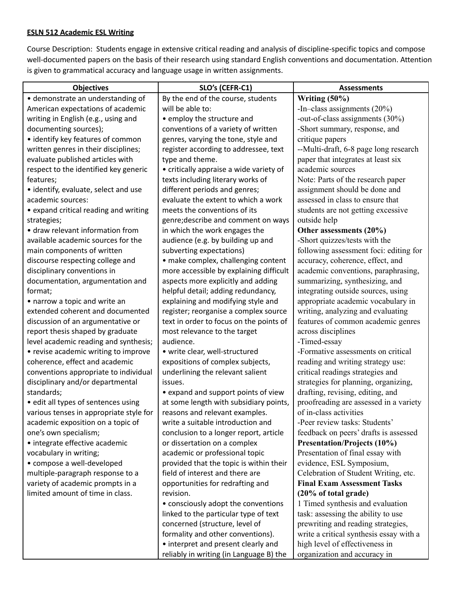#### **ESLN 512 Academic ESL Writing**

Course Description: Students engage in extensive critical reading and analysis of discipline-specific topics and compose well-documented papers on the basis of their research using standard English conventions and documentation. Attention is given to grammatical accuracy and language usage in written assignments.

| <b>Objectives</b>                       | SLO's (CEFR-C1)                         | <b>Assessments</b>                      |
|-----------------------------------------|-----------------------------------------|-----------------------------------------|
| · demonstrate an understanding of       | By the end of the course, students      | Writing (50%)                           |
| American expectations of academic       | will be able to:                        | -In-class assignments (20%)             |
| writing in English (e.g., using and     | • employ the structure and              | -out-of-class assignments (30%)         |
| documenting sources);                   | conventions of a variety of written     | -Short summary, response, and           |
| • identify key features of common       | genres, varying the tone, style and     | critique papers                         |
| written genres in their disciplines;    | register according to addressee, text   | --Multi-draft, 6-8 page long research   |
| evaluate published articles with        | type and theme.                         | paper that integrates at least six      |
| respect to the identified key generic   | • critically appraise a wide variety of | academic sources                        |
| features;                               | texts including literary works of       | Note: Parts of the research paper       |
| • identify, evaluate, select and use    | different periods and genres;           | assignment should be done and           |
| academic sources:                       | evaluate the extent to which a work     | assessed in class to ensure that        |
| • expand critical reading and writing   | meets the conventions of its            | students are not getting excessive      |
| strategies;                             | genre; describe and comment on ways     | outside help                            |
| • draw relevant information from        | in which the work engages the           | Other assessments (20%)                 |
| available academic sources for the      | audience (e.g. by building up and       | -Short quizzes/tests with the           |
| main components of written              | subverting expectations)                | following assessment foci: editing for  |
| discourse respecting college and        | • make complex, challenging content     | accuracy, coherence, effect, and        |
| disciplinary conventions in             | more accessible by explaining difficult | academic conventions, paraphrasing,     |
| documentation, argumentation and        | aspects more explicitly and adding      | summarizing, synthesizing, and          |
| format;                                 | helpful detail; adding redundancy,      | integrating outside sources, using      |
| • narrow a topic and write an           | explaining and modifying style and      | appropriate academic vocabulary in      |
| extended coherent and documented        | register; reorganise a complex source   | writing, analyzing and evaluating       |
| discussion of an argumentative or       | text in order to focus on the points of | features of common academic genres      |
| report thesis shaped by graduate        | most relevance to the target            | across disciplines                      |
| level academic reading and synthesis;   | audience.                               | -Timed-essay                            |
| • revise academic writing to improve    | • write clear, well-structured          | -Formative assessments on critical      |
| coherence, effect and academic          | expositions of complex subjects,        | reading and writing strategy use:       |
| conventions appropriate to individual   | underlining the relevant salient        | critical readings strategies and        |
| disciplinary and/or departmental        | issues.                                 | strategies for planning, organizing,    |
| standards;                              | • expand and support points of view     | drafting, revising, editing, and        |
| · edit all types of sentences using     | at some length with subsidiary points,  | proofreading are assessed in a variety  |
| various tenses in appropriate style for | reasons and relevant examples.          | of in-class activities                  |
| academic exposition on a topic of       | write a suitable introduction and       | -Peer review tasks: Students'           |
| one's own specialism;                   | conclusion to a longer report, article  | feedback on peers' drafts is assessed   |
| • integrate effective academic          | or dissertation on a complex            | Presentation/Projects (10%)             |
| vocabulary in writing;                  | academic or professional topic          | Presentation of final essay with        |
| • compose a well-developed              | provided that the topic is within their | evidence, ESL Symposium,                |
| multiple-paragraph response to a        | field of interest and there are         | Celebration of Student Writing, etc.    |
| variety of academic prompts in a        | opportunities for redrafting and        | <b>Final Exam Assessment Tasks</b>      |
| limited amount of time in class.        | revision.                               | (20% of total grade)                    |
|                                         | • consciously adopt the conventions     | 1 Timed synthesis and evaluation        |
|                                         | linked to the particular type of text   | task: assessing the ability to use      |
|                                         | concerned (structure, level of          | prewriting and reading strategies,      |
|                                         | formality and other conventions).       | write a critical synthesis essay with a |
|                                         | • interpret and present clearly and     | high level of effectiveness in          |
|                                         | reliably in writing (in Language B) the | organization and accuracy in            |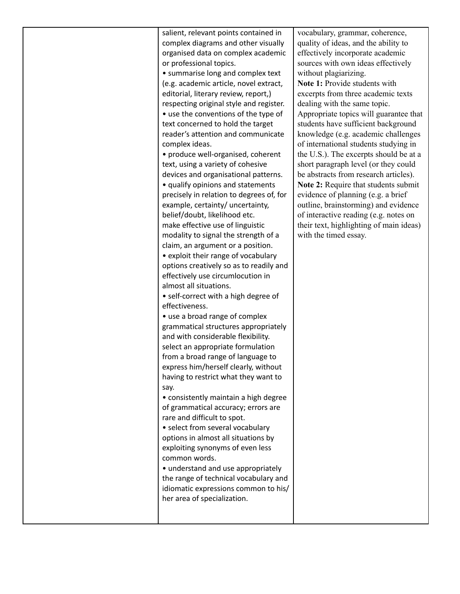|  | salient, relevant points contained in<br>complex diagrams and other visually<br>organised data on complex academic<br>or professional topics.<br>• summarise long and complex text<br>(e.g. academic article, novel extract,<br>editorial, literary review, report,)<br>respecting original style and register.<br>• use the conventions of the type of<br>text concerned to hold the target<br>reader's attention and communicate<br>complex ideas.<br>• produce well-organised, coherent<br>text, using a variety of cohesive<br>devices and organisational patterns.<br>• qualify opinions and statements<br>precisely in relation to degrees of, for<br>example, certainty/ uncertainty,<br>belief/doubt, likelihood etc.<br>make effective use of linguistic<br>modality to signal the strength of a<br>claim, an argument or a position.<br>• exploit their range of vocabulary<br>options creatively so as to readily and<br>effectively use circumlocution in<br>almost all situations.<br>• self-correct with a high degree of<br>effectiveness.<br>• use a broad range of complex<br>grammatical structures appropriately<br>and with considerable flexibility.<br>select an appropriate formulation<br>from a broad range of language to<br>express him/herself clearly, without<br>having to restrict what they want to<br>say.<br>• consistently maintain a high degree<br>of grammatical accuracy; errors are<br>rare and difficult to spot.<br>• select from several vocabulary<br>options in almost all situations by<br>exploiting synonyms of even less<br>common words.<br>• understand and use appropriately<br>the range of technical vocabulary and<br>idiomatic expressions common to his/<br>her area of specialization. | vocabulary,<br>quality of id<br>effectively in<br>sources with<br>without plag<br>Note 1: Prov<br>excerpts from<br>dealing with<br>Appropriate<br>students hav<br>knowledge (<br>of internatio<br>the U.S.). Th<br>short paragra<br>be abstracts<br>Note 2: Req<br>evidence of<br>outline, brai<br>of interactiv<br>their text, hi<br>with the tim |
|--|--------------------------------------------------------------------------------------------------------------------------------------------------------------------------------------------------------------------------------------------------------------------------------------------------------------------------------------------------------------------------------------------------------------------------------------------------------------------------------------------------------------------------------------------------------------------------------------------------------------------------------------------------------------------------------------------------------------------------------------------------------------------------------------------------------------------------------------------------------------------------------------------------------------------------------------------------------------------------------------------------------------------------------------------------------------------------------------------------------------------------------------------------------------------------------------------------------------------------------------------------------------------------------------------------------------------------------------------------------------------------------------------------------------------------------------------------------------------------------------------------------------------------------------------------------------------------------------------------------------------------------------------------------------------------------------------------------------------------------------------------|----------------------------------------------------------------------------------------------------------------------------------------------------------------------------------------------------------------------------------------------------------------------------------------------------------------------------------------------------|
|--|--------------------------------------------------------------------------------------------------------------------------------------------------------------------------------------------------------------------------------------------------------------------------------------------------------------------------------------------------------------------------------------------------------------------------------------------------------------------------------------------------------------------------------------------------------------------------------------------------------------------------------------------------------------------------------------------------------------------------------------------------------------------------------------------------------------------------------------------------------------------------------------------------------------------------------------------------------------------------------------------------------------------------------------------------------------------------------------------------------------------------------------------------------------------------------------------------------------------------------------------------------------------------------------------------------------------------------------------------------------------------------------------------------------------------------------------------------------------------------------------------------------------------------------------------------------------------------------------------------------------------------------------------------------------------------------------------------------------------------------------------|----------------------------------------------------------------------------------------------------------------------------------------------------------------------------------------------------------------------------------------------------------------------------------------------------------------------------------------------------|

grammar, coherence, leas, and the ability to ncorporate academic own ideas effectively ziarizing. wide students with m three academic texts the same topic. topics will guarantee that e sufficient background (e.g. academic challenges onal students studying in he excerpts should be at a aph level (or they could from research articles). **Note 2:** Require that students submit planning (e.g. a brief nstorming) and evidence e reading (e.g. notes on ghlighting of main ideas) ed essay.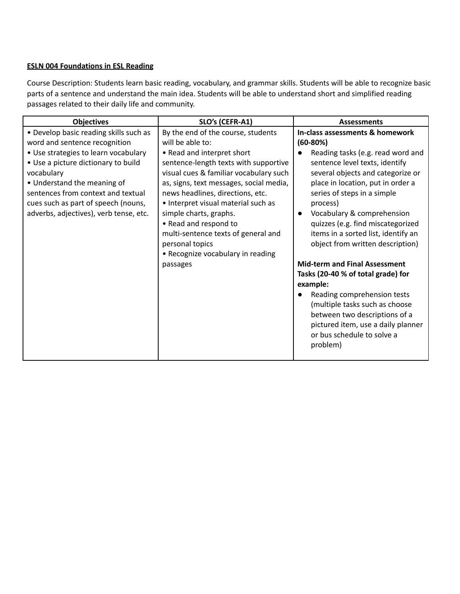### **ESLN 004 Foundations in ESL Reading**

Course Description: Students learn basic reading, vocabulary, and grammar skills. Students will be able to recognize basic parts of a sentence and understand the main idea. Students will be able to understand short and simplified reading passages related to their daily life and community.

| <b>Objectives</b>                                                                                                                                                                                                                                                                                                          | SLO's (CEFR-A1)                                                                                                                                                                                                                                                                                                                                                                                                                                             | <b>Assessments</b>                                                                                                                                                                                                                                                                                                                                                                                                                                                                                                                                                                                                                                                  |
|----------------------------------------------------------------------------------------------------------------------------------------------------------------------------------------------------------------------------------------------------------------------------------------------------------------------------|-------------------------------------------------------------------------------------------------------------------------------------------------------------------------------------------------------------------------------------------------------------------------------------------------------------------------------------------------------------------------------------------------------------------------------------------------------------|---------------------------------------------------------------------------------------------------------------------------------------------------------------------------------------------------------------------------------------------------------------------------------------------------------------------------------------------------------------------------------------------------------------------------------------------------------------------------------------------------------------------------------------------------------------------------------------------------------------------------------------------------------------------|
| • Develop basic reading skills such as<br>word and sentence recognition<br>• Use strategies to learn vocabulary<br>• Use a picture dictionary to build<br>vocabulary<br>• Understand the meaning of<br>sentences from context and textual<br>cues such as part of speech (nouns,<br>adverbs, adjectives), verb tense, etc. | By the end of the course, students<br>will be able to:<br>• Read and interpret short<br>sentence-length texts with supportive<br>visual cues & familiar vocabulary such<br>as, signs, text messages, social media,<br>news headlines, directions, etc.<br>• Interpret visual material such as<br>simple charts, graphs.<br>• Read and respond to<br>multi-sentence texts of general and<br>personal topics<br>• Recognize vocabulary in reading<br>passages | In-class assessments & homework<br>$(60-80%)$<br>Reading tasks (e.g. read word and<br>sentence level texts, identify<br>several objects and categorize or<br>place in location, put in order a<br>series of steps in a simple<br>process)<br>Vocabulary & comprehension<br>quizzes (e.g. find miscategorized<br>items in a sorted list, identify an<br>object from written description)<br><b>Mid-term and Final Assessment</b><br>Tasks (20-40 % of total grade) for<br>example:<br>Reading comprehension tests<br>(multiple tasks such as choose<br>between two descriptions of a<br>pictured item, use a daily planner<br>or bus schedule to solve a<br>problem) |
|                                                                                                                                                                                                                                                                                                                            |                                                                                                                                                                                                                                                                                                                                                                                                                                                             |                                                                                                                                                                                                                                                                                                                                                                                                                                                                                                                                                                                                                                                                     |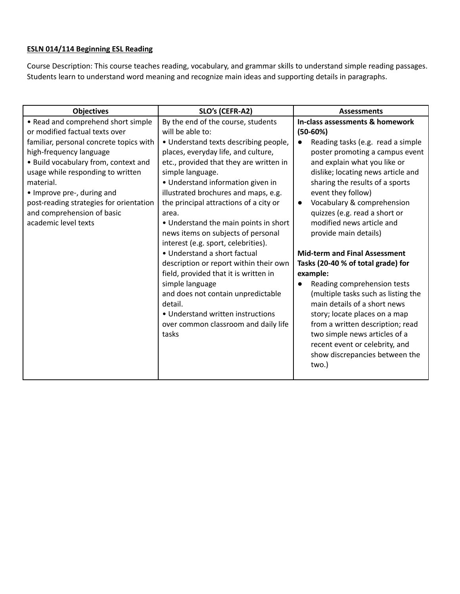# **ESLN 014/114 Beginning ESL Reading**

Course Description: This course teaches reading, vocabulary, and grammar skills to understand simple reading passages. Students learn to understand word meaning and recognize main ideas and supporting details in paragraphs.

| <b>Objectives</b>                       | SLO's (CEFR-A2)                         | <b>Assessments</b>                   |  |
|-----------------------------------------|-----------------------------------------|--------------------------------------|--|
| • Read and comprehend short simple      | By the end of the course, students      | In-class assessments & homework      |  |
| or modified factual texts over          | will be able to:                        | $(50-60%)$                           |  |
| familiar, personal concrete topics with | • Understand texts describing people,   | Reading tasks (e.g. read a simple    |  |
| high-frequency language                 | places, everyday life, and culture,     | poster promoting a campus event      |  |
| • Build vocabulary from, context and    | etc., provided that they are written in | and explain what you like or         |  |
| usage while responding to written       | simple language.                        | dislike; locating news article and   |  |
| material.                               | · Understand information given in       | sharing the results of a sports      |  |
| • Improve pre-, during and              | illustrated brochures and maps, e.g.    | event they follow)                   |  |
| post-reading strategies for orientation | the principal attractions of a city or  | Vocabulary & comprehension           |  |
| and comprehension of basic              | area.                                   | quizzes (e.g. read a short or        |  |
| academic level texts                    | • Understand the main points in short   | modified news article and            |  |
|                                         | news items on subjects of personal      | provide main details)                |  |
|                                         | interest (e.g. sport, celebrities).     |                                      |  |
|                                         | • Understand a short factual            | <b>Mid-term and Final Assessment</b> |  |
|                                         | description or report within their own  | Tasks (20-40 % of total grade) for   |  |
|                                         | field, provided that it is written in   | example:                             |  |
|                                         | simple language                         | Reading comprehension tests          |  |
|                                         | and does not contain unpredictable      | (multiple tasks such as listing the  |  |
|                                         | detail.                                 | main details of a short news         |  |
|                                         | • Understand written instructions       | story; locate places on a map        |  |
|                                         | over common classroom and daily life    | from a written description; read     |  |
|                                         | tasks                                   | two simple news articles of a        |  |
|                                         |                                         | recent event or celebrity, and       |  |
|                                         |                                         | show discrepancies between the       |  |
|                                         |                                         | two.)                                |  |
|                                         |                                         |                                      |  |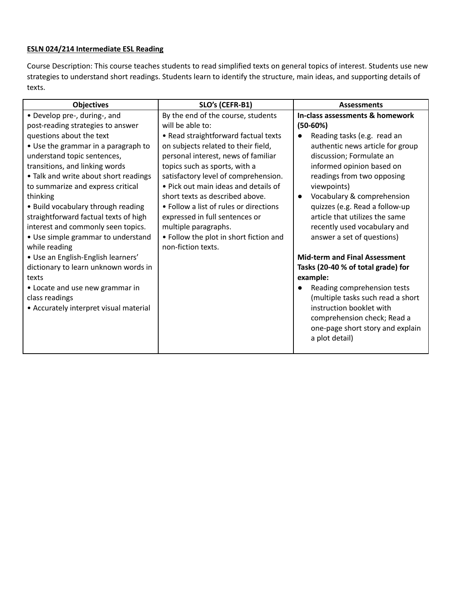### **ESLN 024/214 Intermediate ESL Reading**

Course Description: This course teaches students to read simplified texts on general topics of interest. Students use new strategies to understand short readings. Students learn to identify the structure, main ideas, and supporting details of texts.

| <b>Objectives</b>                                                                                                                                                                                                                                                                                                                                                                                                                                                           | SLO's (CEFR-B1)                                                                                                                                                                                                                                                                                                                                                                                                                                                                                      | <b>Assessments</b>                                                                                                                                                                                                                                                                                                                                                                                                                          |  |
|-----------------------------------------------------------------------------------------------------------------------------------------------------------------------------------------------------------------------------------------------------------------------------------------------------------------------------------------------------------------------------------------------------------------------------------------------------------------------------|------------------------------------------------------------------------------------------------------------------------------------------------------------------------------------------------------------------------------------------------------------------------------------------------------------------------------------------------------------------------------------------------------------------------------------------------------------------------------------------------------|---------------------------------------------------------------------------------------------------------------------------------------------------------------------------------------------------------------------------------------------------------------------------------------------------------------------------------------------------------------------------------------------------------------------------------------------|--|
| • Develop pre-, during-, and<br>post-reading strategies to answer<br>questions about the text<br>• Use the grammar in a paragraph to<br>understand topic sentences,<br>transitions, and linking words<br>• Talk and write about short readings<br>to summarize and express critical<br>thinking<br>• Build vocabulary through reading<br>straightforward factual texts of high<br>interest and commonly seen topics.<br>• Use simple grammar to understand<br>while reading | By the end of the course, students<br>will be able to:<br>• Read straightforward factual texts<br>on subjects related to their field,<br>personal interest, news of familiar<br>topics such as sports, with a<br>satisfactory level of comprehension.<br>. Pick out main ideas and details of<br>short texts as described above.<br>• Follow a list of rules or directions<br>expressed in full sentences or<br>multiple paragraphs.<br>• Follow the plot in short fiction and<br>non-fiction texts. | In-class assessments & homework<br>$(50-60%)$<br>Reading tasks (e.g. read an<br>authentic news article for group<br>discussion; Formulate an<br>informed opinion based on<br>readings from two opposing<br>viewpoints)<br>Vocabulary & comprehension<br>$\bullet$<br>quizzes (e.g. Read a follow-up<br>article that utilizes the same<br>recently used vocabulary and<br>answer a set of questions)<br><b>Mid-term and Final Assessment</b> |  |
| • Use an English-English learners'<br>dictionary to learn unknown words in<br>texts<br>• Locate and use new grammar in<br>class readings<br>• Accurately interpret visual material                                                                                                                                                                                                                                                                                          |                                                                                                                                                                                                                                                                                                                                                                                                                                                                                                      | Tasks (20-40 % of total grade) for<br>example:<br>Reading comprehension tests<br>(multiple tasks such read a short<br>instruction booklet with                                                                                                                                                                                                                                                                                              |  |
|                                                                                                                                                                                                                                                                                                                                                                                                                                                                             |                                                                                                                                                                                                                                                                                                                                                                                                                                                                                                      | comprehension check; Read a<br>one-page short story and explain<br>a plot detail)                                                                                                                                                                                                                                                                                                                                                           |  |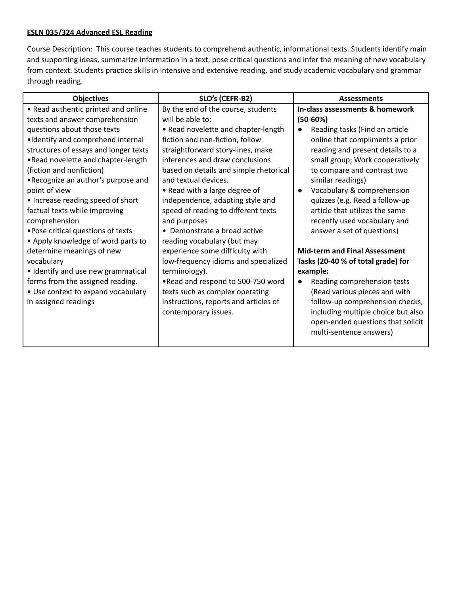### **ESLN 035/324 Advanced ESL Reading**

Course Description: This course teaches students to comprehend authentic, informational texts. Students identify main and supporting ideas, summarize information in a text, pose critical questions and infer the meaning of new vocabulary from context. Students practice skills in intensive and extensive reading, and study academic vocabulary and grammar through reading.

| <b>Objectives</b>                     | SLO's (CEFR-B2)                        | <b>Assessments</b>                       |  |
|---------------------------------------|----------------------------------------|------------------------------------------|--|
| • Read authentic printed and online   | By the end of the course, students     | In-class assessments & homework          |  |
| texts and answer comprehension        | will be able to:                       | $(50-60%)$                               |  |
| questions about those texts           | • Read novelette and chapter-length    | Reading tasks (Find an article           |  |
| •Identify and comprehend internal     | fiction and non-fiction, follow        | online that compliments a prior          |  |
| structures of essays and longer texts | straightforward story-lines, make      | reading and present details to a         |  |
| .Read novelette and chapter-length    | inferences and draw conclusions        | small group; Work cooperatively          |  |
| (fiction and nonfiction)              | based on details and simple rhetorical | to compare and contrast two              |  |
| .Recognize an author's purpose and    | and textual devices.                   | similar readings)                        |  |
| point of view                         | • Read with a large degree of          | Vocabulary & comprehension               |  |
| • Increase reading speed of short     | independence, adapting style and       | quizzes (e.g. Read a follow-up           |  |
| factual texts while improving         | speed of reading to different texts    | article that utilizes the same           |  |
| comprehension                         | and purposes                           | recently used vocabulary and             |  |
| • Pose critical questions of texts    | • Demonstrate a broad active           | answer a set of questions)               |  |
| • Apply knowledge of word parts to    | reading vocabulary (but may            |                                          |  |
| determine meanings of new             | experience some difficulty with        | <b>Mid-term and Final Assessment</b>     |  |
| vocabulary                            | low-frequency idioms and specialized   | Tasks (20-40 % of total grade) for       |  |
| • Identify and use new grammatical    | terminology).                          | example:                                 |  |
| forms from the assigned reading.      | .Read and respond to 500-750 word      | Reading comprehension tests<br>$\bullet$ |  |
| • Use context to expand vocabulary    | texts such as complex operating        | (Read various pieces and with            |  |
| in assigned readings                  | instructions, reports and articles of  | follow-up comprehension checks,          |  |
|                                       | contemporary issues.                   | including multiple choice but also       |  |
|                                       |                                        | open-ended questions that solicit        |  |
|                                       |                                        | multi-sentence answers)                  |  |
|                                       |                                        |                                          |  |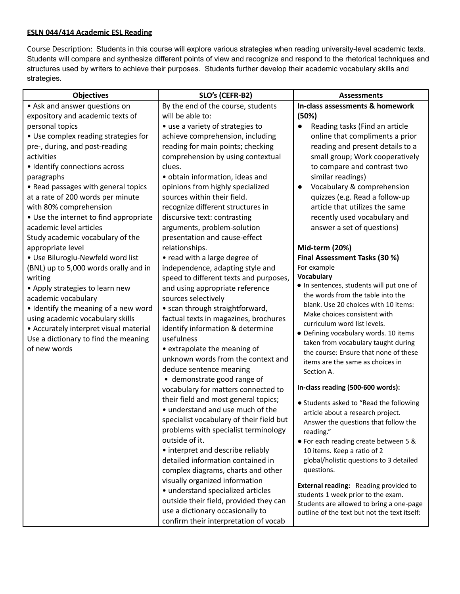#### **ESLN 044/414 Academic ESL Reading**

Course Description: Students in this course will explore various strategies when reading university-level academic texts. Students will compare and synthesize different points of view and recognize and respond to the rhetorical techniques and structures used by writers to achieve their purposes. Students further develop their academic vocabulary skills and strategies.

| <b>Objectives</b>                      | SLO's (CEFR-B2)                          | <b>Assessments</b>                                                                 |
|----------------------------------------|------------------------------------------|------------------------------------------------------------------------------------|
| • Ask and answer questions on          | By the end of the course, students       | In-class assessments & homework                                                    |
| expository and academic texts of       | will be able to:                         | (50%)                                                                              |
| personal topics                        | • use a variety of strategies to         | Reading tasks (Find an article                                                     |
| • Use complex reading strategies for   | achieve comprehension, including         | online that compliments a prior                                                    |
| pre-, during, and post-reading         | reading for main points; checking        | reading and present details to a                                                   |
| activities                             | comprehension by using contextual        | small group; Work cooperatively                                                    |
| • Identify connections across          | clues.                                   | to compare and contrast two                                                        |
| paragraphs                             | · obtain information, ideas and          | similar readings)                                                                  |
| • Read passages with general topics    | opinions from highly specialized         | Vocabulary & comprehension                                                         |
| at a rate of 200 words per minute      | sources within their field.              | quizzes (e.g. Read a follow-up                                                     |
| with 80% comprehension                 | recognize different structures in        | article that utilizes the same                                                     |
| • Use the internet to find appropriate | discursive text: contrasting             | recently used vocabulary and                                                       |
| academic level articles                | arguments, problem-solution              | answer a set of questions)                                                         |
| Study academic vocabulary of the       | presentation and cause-effect            |                                                                                    |
| appropriate level                      | relationships.                           | Mid-term (20%)                                                                     |
| · Use Biluroglu-Newfeld word list      | • read with a large degree of            | Final Assessment Tasks (30 %)                                                      |
| (BNL) up to 5,000 words orally and in  | independence, adapting style and         | For example                                                                        |
| writing                                | speed to different texts and purposes,   | <b>Vocabulary</b>                                                                  |
| • Apply strategies to learn new        | and using appropriate reference          | . In sentences, students will put one of                                           |
| academic vocabulary                    | sources selectively                      | the words from the table into the                                                  |
| • Identify the meaning of a new word   | • scan through straightforward,          | blank. Use 20 choices with 10 items:                                               |
| using academic vocabulary skills       | factual texts in magazines, brochures    | Make choices consistent with<br>curriculum word list levels.                       |
| • Accurately interpret visual material | identify information & determine         | · Defining vocabulary words. 10 items                                              |
| Use a dictionary to find the meaning   | usefulness                               | taken from vocabulary taught during                                                |
| of new words                           | • extrapolate the meaning of             | the course: Ensure that none of these                                              |
|                                        | unknown words from the context and       | items are the same as choices in                                                   |
|                                        | deduce sentence meaning                  | Section A.                                                                         |
|                                        | • demonstrate good range of              |                                                                                    |
|                                        | vocabulary for matters connected to      | In-class reading (500-600 words):                                                  |
|                                        | their field and most general topics;     | • Students asked to "Read the following                                            |
|                                        | • understand and use much of the         | article about a research project.                                                  |
|                                        | specialist vocabulary of their field but | Answer the questions that follow the                                               |
|                                        | problems with specialist terminology     | reading."                                                                          |
|                                        | outside of it.                           | • For each reading create between 5 &                                              |
|                                        | • interpret and describe reliably        | 10 items. Keep a ratio of 2                                                        |
|                                        | detailed information contained in        | global/holistic questions to 3 detailed                                            |
|                                        | complex diagrams, charts and other       | questions.                                                                         |
|                                        | visually organized information           |                                                                                    |
|                                        | • understand specialized articles        | <b>External reading:</b> Reading provided to<br>students 1 week prior to the exam. |
|                                        | outside their field, provided they can   | Students are allowed to bring a one-page                                           |
|                                        | use a dictionary occasionally to         | outline of the text but not the text itself:                                       |
|                                        | confirm their interpretation of vocab    |                                                                                    |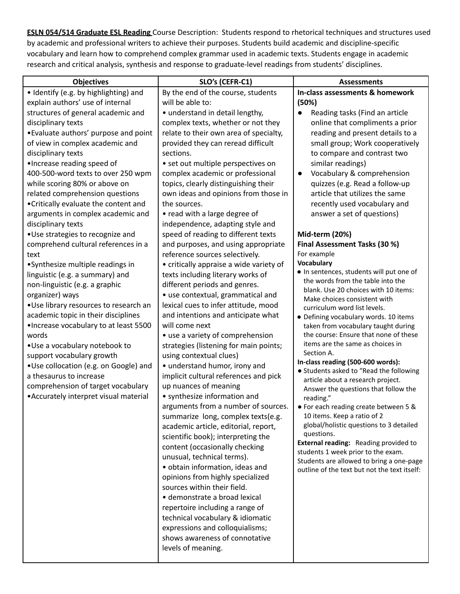**ESLN 054/514 Graduate ESL Reading** Course Description: Students respond to rhetorical techniques and structures used by academic and professional writers to achieve their purposes. Students build academic and discipline-specific vocabulary and learn how to comprehend complex grammar used in academic texts. Students engage in academic research and critical analysis, synthesis and response to graduate-level readings from students' disciplines.

| <b>Objectives</b>                      | SLO's (CEFR-C1)                         | <b>Assessments</b>                                                            |
|----------------------------------------|-----------------------------------------|-------------------------------------------------------------------------------|
| · Identify (e.g. by highlighting) and  | By the end of the course, students      | In-class assessments & homework                                               |
| explain authors' use of internal       | will be able to:                        | (50%)                                                                         |
| structures of general academic and     | • understand in detail lengthy,         | Reading tasks (Find an article                                                |
| disciplinary texts                     | complex texts, whether or not they      | online that compliments a prior                                               |
| •Evaluate authors' purpose and point   | relate to their own area of specialty,  | reading and present details to a                                              |
| of view in complex academic and        | provided they can reread difficult      | small group; Work cooperatively                                               |
| disciplinary texts                     | sections.                               | to compare and contrast two                                                   |
| ·Increase reading speed of             | • set out multiple perspectives on      | similar readings)                                                             |
| 400-500-word texts to over 250 wpm     | complex academic or professional        | Vocabulary & comprehension                                                    |
| while scoring 80% or above on          | topics, clearly distinguishing their    | quizzes (e.g. Read a follow-up                                                |
| related comprehension questions        | own ideas and opinions from those in    | article that utilizes the same                                                |
| •Critically evaluate the content and   | the sources.                            | recently used vocabulary and                                                  |
| arguments in complex academic and      | • read with a large degree of           | answer a set of questions)                                                    |
| disciplinary texts                     | independence, adapting style and        |                                                                               |
| .Use strategies to recognize and       | speed of reading to different texts     | Mid-term (20%)                                                                |
| comprehend cultural references in a    | and purposes, and using appropriate     | Final Assessment Tasks (30 %)                                                 |
| text                                   | reference sources selectively.          | For example                                                                   |
| •Synthesize multiple readings in       | • critically appraise a wide variety of | Vocabulary                                                                    |
| linguistic (e.g. a summary) and        | texts including literary works of       | · In sentences, students will put one of<br>the words from the table into the |
| non-linguistic (e.g. a graphic         | different periods and genres.           | blank. Use 20 choices with 10 items:                                          |
| organizer) ways                        | • use contextual, grammatical and       | Make choices consistent with                                                  |
| .Use library resources to research an  | lexical cues to infer attitude, mood    | curriculum word list levels.                                                  |
| academic topic in their disciplines    | and intentions and anticipate what      | · Defining vocabulary words. 10 items                                         |
| ·Increase vocabulary to at least 5500  | will come next                          | taken from vocabulary taught during                                           |
| words                                  | • use a variety of comprehension        | the course: Ensure that none of these                                         |
| •Use a vocabulary notebook to          | strategies (listening for main points;  | items are the same as choices in<br>Section A.                                |
| support vocabulary growth              | using contextual clues)                 | In-class reading (500-600 words):                                             |
| •Use collocation (e.g. on Google) and  | • understand humor, irony and           | • Students asked to "Read the following                                       |
| a thesaurus to increase                | implicit cultural references and pick   | article about a research project.                                             |
| comprehension of target vocabulary     | up nuances of meaning                   | Answer the questions that follow the                                          |
| • Accurately interpret visual material | • synthesize information and            | reading."                                                                     |
|                                        | arguments from a number of sources.     | • For each reading create between 5 &                                         |
|                                        | summarize long, complex texts(e.g.      | 10 items. Keep a ratio of 2                                                   |
|                                        | academic article, editorial, report,    | global/holistic questions to 3 detailed<br>questions.                         |
|                                        | scientific book); interpreting the      | External reading: Reading provided to                                         |
|                                        | content (occasionally checking          | students 1 week prior to the exam.                                            |
|                                        | unusual, technical terms).              | Students are allowed to bring a one-page                                      |
|                                        | · obtain information, ideas and         | outline of the text but not the text itself:                                  |
|                                        | opinions from highly specialized        |                                                                               |
|                                        | sources within their field.             |                                                                               |
|                                        | · demonstrate a broad lexical           |                                                                               |
|                                        | repertoire including a range of         |                                                                               |
|                                        | technical vocabulary & idiomatic        |                                                                               |
|                                        | expressions and colloquialisms;         |                                                                               |
|                                        | shows awareness of connotative          |                                                                               |
|                                        | levels of meaning.                      |                                                                               |
|                                        |                                         |                                                                               |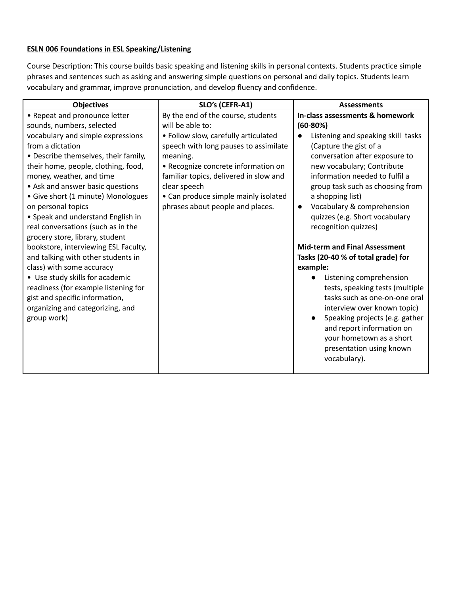### **ESLN 006 Foundations in ESL Speaking/Listening**

Course Description: This course builds basic speaking and listening skills in personal contexts. Students practice simple phrases and sentences such as asking and answering simple questions on personal and daily topics. Students learn vocabulary and grammar, improve pronunciation, and develop fluency and confidence.

| <b>Objectives</b>                    | SLO's (CEFR-A1)                        | <b>Assessments</b>                      |
|--------------------------------------|----------------------------------------|-----------------------------------------|
| • Repeat and pronounce letter        | By the end of the course, students     | In-class assessments & homework         |
| sounds, numbers, selected            | will be able to:                       | $(60-80%)$                              |
| vocabulary and simple expressions    | · Follow slow, carefully articulated   | Listening and speaking skill tasks      |
| from a dictation                     | speech with long pauses to assimilate  | (Capture the gist of a                  |
| • Describe themselves, their family, | meaning.                               | conversation after exposure to          |
| their home, people, clothing, food,  | • Recognize concrete information on    | new vocabulary; Contribute              |
| money, weather, and time             | familiar topics, delivered in slow and | information needed to fulfil a          |
| • Ask and answer basic questions     | clear speech                           | group task such as choosing from        |
| • Give short (1 minute) Monologues   | • Can produce simple mainly isolated   | a shopping list)                        |
| on personal topics                   | phrases about people and places.       | Vocabulary & comprehension<br>$\bullet$ |
| • Speak and understand English in    |                                        | quizzes (e.g. Short vocabulary          |
| real conversations (such as in the   |                                        | recognition quizzes)                    |
| grocery store, library, student      |                                        |                                         |
| bookstore, interviewing ESL Faculty, |                                        | <b>Mid-term and Final Assessment</b>    |
| and talking with other students in   |                                        | Tasks (20-40 % of total grade) for      |
| class) with some accuracy            |                                        | example:                                |
| • Use study skills for academic      |                                        | Listening comprehension                 |
| readiness (for example listening for |                                        | tests, speaking tests (multiple         |
| gist and specific information,       |                                        | tasks such as one-on-one oral           |
| organizing and categorizing, and     |                                        | interview over known topic)             |
| group work)                          |                                        | Speaking projects (e.g. gather          |
|                                      |                                        | and report information on               |
|                                      |                                        | your hometown as a short                |
|                                      |                                        | presentation using known                |
|                                      |                                        | vocabulary).                            |
|                                      |                                        |                                         |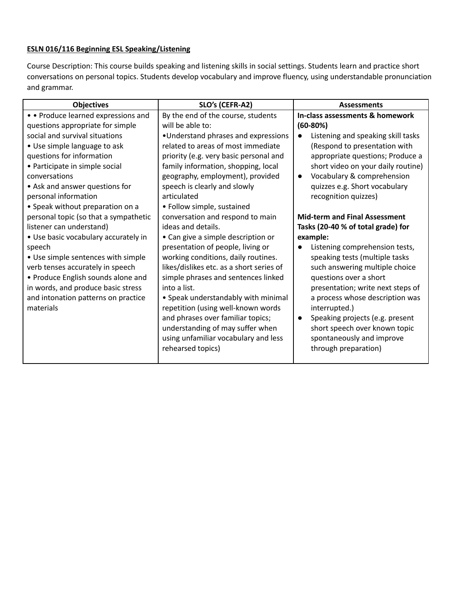### **ESLN 016/116 Beginning ESL Speaking/Listening**

Course Description: This course builds speaking and listening skills in social settings. Students learn and practice short conversations on personal topics. Students develop vocabulary and improve fluency, using understandable pronunciation and grammar.

| <b>Objectives</b>                     | SLO's (CEFR-A2)                          | <b>Assessments</b>                              |
|---------------------------------------|------------------------------------------|-------------------------------------------------|
| • • Produce learned expressions and   | By the end of the course, students       | In-class assessments & homework                 |
| questions appropriate for simple      | will be able to:                         | $(60-80%)$                                      |
| social and survival situations        | •Understand phrases and expressions      | Listening and speaking skill tasks<br>$\bullet$ |
| • Use simple language to ask          | related to areas of most immediate       | (Respond to presentation with                   |
| questions for information             | priority (e.g. very basic personal and   | appropriate questions; Produce a                |
| • Participate in simple social        | family information, shopping, local      | short video on your daily routine)              |
| conversations                         | geography, employment), provided         | Vocabulary & comprehension<br>$\bullet$         |
| • Ask and answer questions for        | speech is clearly and slowly             | quizzes e.g. Short vocabulary                   |
| personal information                  | articulated                              | recognition quizzes)                            |
| • Speak without preparation on a      | • Follow simple, sustained               |                                                 |
| personal topic (so that a sympathetic | conversation and respond to main         | <b>Mid-term and Final Assessment</b>            |
| listener can understand)              | ideas and details.                       | Tasks (20-40 % of total grade) for              |
| · Use basic vocabulary accurately in  | • Can give a simple description or       | example:                                        |
| speech                                | presentation of people, living or        | Listening comprehension tests,                  |
| • Use simple sentences with simple    | working conditions, daily routines.      | speaking tests (multiple tasks                  |
| verb tenses accurately in speech      | likes/dislikes etc. as a short series of | such answering multiple choice                  |
| • Produce English sounds alone and    | simple phrases and sentences linked      | questions over a short                          |
| in words, and produce basic stress    | into a list.                             | presentation; write next steps of               |
| and intonation patterns on practice   | • Speak understandably with minimal      | a process whose description was                 |
| materials                             | repetition (using well-known words       | interrupted.)                                   |
|                                       | and phrases over familiar topics;        | Speaking projects (e.g. present<br>$\bullet$    |
|                                       | understanding of may suffer when         | short speech over known topic                   |
|                                       | using unfamiliar vocabulary and less     | spontaneously and improve                       |
|                                       | rehearsed topics)                        | through preparation)                            |
|                                       |                                          |                                                 |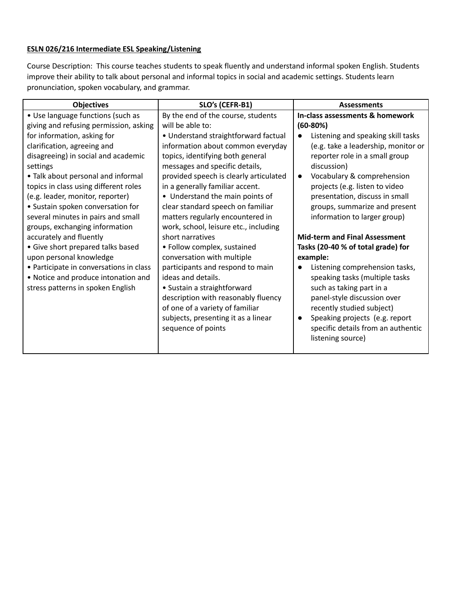## **ESLN 026/216 Intermediate ESL Speaking/Listening**

Course Description: This course teaches students to speak fluently and understand informal spoken English. Students improve their ability to talk about personal and informal topics in social and academic settings. Students learn pronunciation, spoken vocabulary, and grammar.

| <b>Objectives</b>                       | SLO's (CEFR-B1)                        | <b>Assessments</b>                          |
|-----------------------------------------|----------------------------------------|---------------------------------------------|
| • Use language functions (such as       | By the end of the course, students     | In-class assessments & homework             |
| giving and refusing permission, asking  | will be able to:                       | $(60-80%)$                                  |
| for information, asking for             | • Understand straightforward factual   | Listening and speaking skill tasks          |
| clarification, agreeing and             | information about common everyday      | (e.g. take a leadership, monitor or         |
| disagreeing) in social and academic     | topics, identifying both general       | reporter role in a small group              |
| settings                                | messages and specific details,         | discussion)                                 |
| • Talk about personal and informal      | provided speech is clearly articulated | Vocabulary & comprehension<br>$\bullet$     |
| topics in class using different roles   | in a generally familiar accent.        | projects (e.g. listen to video              |
| (e.g. leader, monitor, reporter)        | • Understand the main points of        | presentation, discuss in small              |
| • Sustain spoken conversation for       | clear standard speech on familiar      | groups, summarize and present               |
| several minutes in pairs and small      | matters regularly encountered in       | information to larger group)                |
| groups, exchanging information          | work, school, leisure etc., including  |                                             |
| accurately and fluently                 | short narratives                       | <b>Mid-term and Final Assessment</b>        |
| • Give short prepared talks based       | • Follow complex, sustained            | Tasks (20-40 % of total grade) for          |
| upon personal knowledge                 | conversation with multiple             | example:                                    |
| • Participate in conversations in class | participants and respond to main       | Listening comprehension tasks,              |
| • Notice and produce intonation and     | ideas and details.                     | speaking tasks (multiple tasks              |
| stress patterns in spoken English       | • Sustain a straightforward            | such as taking part in a                    |
|                                         | description with reasonably fluency    | panel-style discussion over                 |
|                                         | of one of a variety of familiar        | recently studied subject)                   |
|                                         | subjects, presenting it as a linear    | Speaking projects (e.g. report<br>$\bullet$ |
|                                         | sequence of points                     | specific details from an authentic          |
|                                         |                                        | listening source)                           |
|                                         |                                        |                                             |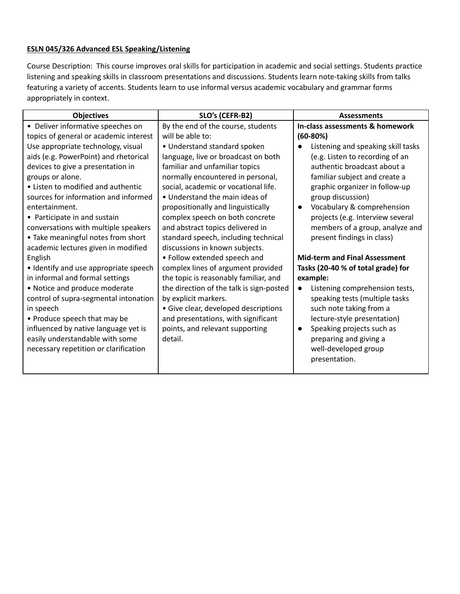### **ESLN 045/326 Advanced ESL Speaking/Listening**

Course Description: This course improves oral skills for participation in academic and social settings. Students practice listening and speaking skills in classroom presentations and discussions. Students learn note-taking skills from talks featuring a variety of accents. Students learn to use informal versus academic vocabulary and grammar forms appropriately in context.

| <b>Objectives</b>                      | SLO's (CEFR-B2)                          | <b>Assessments</b>                          |
|----------------------------------------|------------------------------------------|---------------------------------------------|
| • Deliver informative speeches on      | By the end of the course, students       | In-class assessments & homework             |
| topics of general or academic interest | will be able to:                         | $(60-80%)$                                  |
| Use appropriate technology, visual     | • Understand standard spoken             | Listening and speaking skill tasks          |
| aids (e.g. PowerPoint) and rhetorical  | language, live or broadcast on both      | (e.g. Listen to recording of an             |
| devices to give a presentation in      | familiar and unfamiliar topics           | authentic broadcast about a                 |
| groups or alone.                       | normally encountered in personal,        | familiar subject and create a               |
| • Listen to modified and authentic     | social, academic or vocational life.     | graphic organizer in follow-up              |
| sources for information and informed   | • Understand the main ideas of           | group discussion)                           |
| entertainment.                         | propositionally and linguistically       | Vocabulary & comprehension<br>$\bullet$     |
| • Participate in and sustain           | complex speech on both concrete          | projects (e.g. Interview several            |
| conversations with multiple speakers   | and abstract topics delivered in         | members of a group, analyze and             |
| • Take meaningful notes from short     | standard speech, including technical     | present findings in class)                  |
| academic lectures given in modified    | discussions in known subjects.           |                                             |
| English                                | • Follow extended speech and             | <b>Mid-term and Final Assessment</b>        |
| • Identify and use appropriate speech  | complex lines of argument provided       | Tasks (20-40 % of total grade) for          |
| in informal and formal settings        | the topic is reasonably familiar, and    | example:                                    |
| • Notice and produce moderate          | the direction of the talk is sign-posted | Listening comprehension tests,<br>$\bullet$ |
| control of supra-segmental intonation  | by explicit markers.                     | speaking tests (multiple tasks              |
| in speech                              | • Give clear, developed descriptions     | such note taking from a                     |
| • Produce speech that may be           | and presentations, with significant      | lecture-style presentation)                 |
| influenced by native language yet is   | points, and relevant supporting          | Speaking projects such as                   |
| easily understandable with some        | detail.                                  | preparing and giving a                      |
| necessary repetition or clarification  |                                          | well-developed group                        |
|                                        |                                          | presentation.                               |
|                                        |                                          |                                             |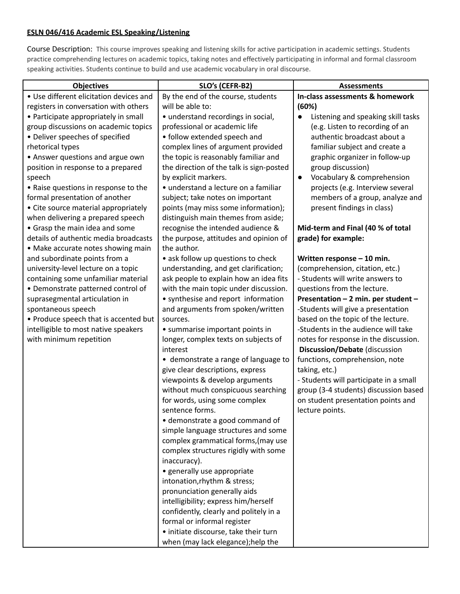### **ESLN 046/416 Academic ESL Speaking/Listening**

Course Description: This course improves speaking and listening skills for active participation in academic settings. Students practice comprehending lectures on academic topics, taking notes and effectively participating in informal and formal classroom speaking activities. Students continue to build and use academic vocabulary in oral discourse.

| <b>Objectives</b>                                                                                                                                                                                                                                                                                                                                                                                                                                                                                                                                                                                                                                                                                                                                                                                                                                                                                            | SLO's (CEFR-B2)                                                                                                                                                                                                                                                                                                                                                                                                                                                                                                                                                                                                                                                                                                                                                                                                                                                                                                                                                                                                                       | <b>Assessments</b>                                                                                                                                                                                                                                                                                                                                                                                                                                                                                                                                                                                                                                                                                                                                                                                                                                                                                                        |
|--------------------------------------------------------------------------------------------------------------------------------------------------------------------------------------------------------------------------------------------------------------------------------------------------------------------------------------------------------------------------------------------------------------------------------------------------------------------------------------------------------------------------------------------------------------------------------------------------------------------------------------------------------------------------------------------------------------------------------------------------------------------------------------------------------------------------------------------------------------------------------------------------------------|---------------------------------------------------------------------------------------------------------------------------------------------------------------------------------------------------------------------------------------------------------------------------------------------------------------------------------------------------------------------------------------------------------------------------------------------------------------------------------------------------------------------------------------------------------------------------------------------------------------------------------------------------------------------------------------------------------------------------------------------------------------------------------------------------------------------------------------------------------------------------------------------------------------------------------------------------------------------------------------------------------------------------------------|---------------------------------------------------------------------------------------------------------------------------------------------------------------------------------------------------------------------------------------------------------------------------------------------------------------------------------------------------------------------------------------------------------------------------------------------------------------------------------------------------------------------------------------------------------------------------------------------------------------------------------------------------------------------------------------------------------------------------------------------------------------------------------------------------------------------------------------------------------------------------------------------------------------------------|
| • Use different elicitation devices and<br>registers in conversation with others<br>• Participate appropriately in small<br>group discussions on academic topics<br>• Deliver speeches of specified<br>rhetorical types<br>• Answer questions and argue own<br>position in response to a prepared<br>speech<br>• Raise questions in response to the<br>formal presentation of another<br>• Cite source material appropriately<br>when delivering a prepared speech<br>• Grasp the main idea and some<br>details of authentic media broadcasts<br>• Make accurate notes showing main<br>and subordinate points from a<br>university-level lecture on a topic<br>containing some unfamiliar material<br>• Demonstrate patterned control of<br>suprasegmental articulation in<br>spontaneous speech<br>• Produce speech that is accented but<br>intelligible to most native speakers<br>with minimum repetition | By the end of the course, students<br>will be able to:<br>• understand recordings in social,<br>professional or academic life<br>• follow extended speech and<br>complex lines of argument provided<br>the topic is reasonably familiar and<br>the direction of the talk is sign-posted<br>by explicit markers.<br>· understand a lecture on a familiar<br>subject; take notes on important<br>points (may miss some information);<br>distinguish main themes from aside;<br>recognise the intended audience &<br>the purpose, attitudes and opinion of<br>the author.<br>• ask follow up questions to check<br>understanding, and get clarification;<br>ask people to explain how an idea fits<br>with the main topic under discussion.<br>• synthesise and report information<br>and arguments from spoken/written<br>sources.<br>• summarise important points in<br>longer, complex texts on subjects of<br>interest<br>• demonstrate a range of language to<br>give clear descriptions, express<br>viewpoints & develop arguments | In-class assessments & homework<br>(60%)<br>Listening and speaking skill tasks<br>(e.g. Listen to recording of an<br>authentic broadcast about a<br>familiar subject and create a<br>graphic organizer in follow-up<br>group discussion)<br>Vocabulary & comprehension<br>$\bullet$<br>projects (e.g. Interview several<br>members of a group, analyze and<br>present findings in class)<br>Mid-term and Final (40 % of total<br>grade) for example:<br>Written response - 10 min.<br>(comprehension, citation, etc.)<br>- Students will write answers to<br>questions from the lecture.<br>Presentation - 2 min. per student -<br>-Students will give a presentation<br>based on the topic of the lecture.<br>-Students in the audience will take<br>notes for response in the discussion.<br>Discussion/Debate (discussion<br>functions, comprehension, note<br>taking, etc.)<br>- Students will participate in a small |
|                                                                                                                                                                                                                                                                                                                                                                                                                                                                                                                                                                                                                                                                                                                                                                                                                                                                                                              | without much conspicuous searching<br>for words, using some complex<br>sentence forms.<br>· demonstrate a good command of<br>simple language structures and some<br>complex grammatical forms, (may use<br>complex structures rigidly with some<br>inaccuracy).<br>· generally use appropriate<br>intonation, rhythm & stress;<br>pronunciation generally aids<br>intelligibility; express him/herself<br>confidently, clearly and politely in a<br>formal or informal register<br>· initiate discourse, take their turn<br>when (may lack elegance); help the                                                                                                                                                                                                                                                                                                                                                                                                                                                                        | group (3-4 students) discussion based<br>on student presentation points and<br>lecture points.                                                                                                                                                                                                                                                                                                                                                                                                                                                                                                                                                                                                                                                                                                                                                                                                                            |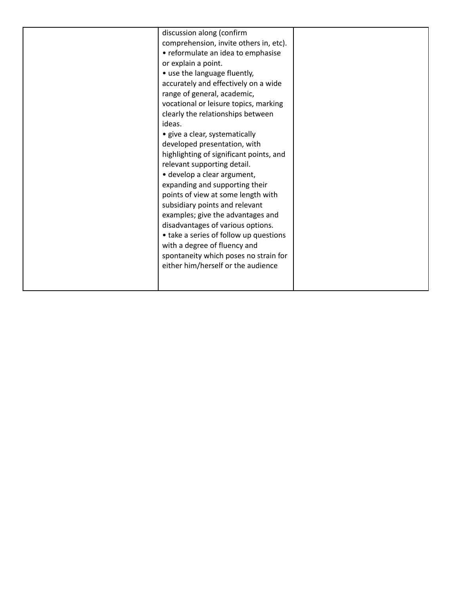|  | discussion along (confirm<br>comprehension, invite others in, etc).<br>• reformulate an idea to emphasise<br>or explain a point.<br>• use the language fluently,<br>accurately and effectively on a wide<br>range of general, academic,<br>vocational or leisure topics, marking<br>clearly the relationships between<br>ideas.<br>• give a clear, systematically<br>developed presentation, with<br>highlighting of significant points, and<br>relevant supporting detail.<br>· develop a clear argument,<br>expanding and supporting their<br>points of view at some length with<br>subsidiary points and relevant<br>examples; give the advantages and<br>disadvantages of various options.<br>• take a series of follow up questions<br>with a degree of fluency and<br>spontaneity which poses no strain for<br>either him/herself or the audience |  |
|--|---------------------------------------------------------------------------------------------------------------------------------------------------------------------------------------------------------------------------------------------------------------------------------------------------------------------------------------------------------------------------------------------------------------------------------------------------------------------------------------------------------------------------------------------------------------------------------------------------------------------------------------------------------------------------------------------------------------------------------------------------------------------------------------------------------------------------------------------------------|--|
|--|---------------------------------------------------------------------------------------------------------------------------------------------------------------------------------------------------------------------------------------------------------------------------------------------------------------------------------------------------------------------------------------------------------------------------------------------------------------------------------------------------------------------------------------------------------------------------------------------------------------------------------------------------------------------------------------------------------------------------------------------------------------------------------------------------------------------------------------------------------|--|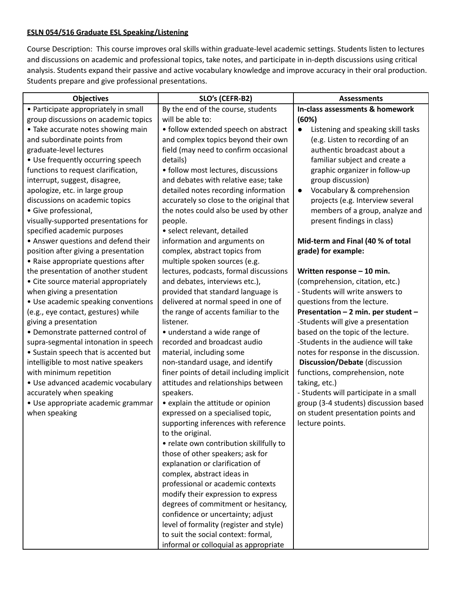### **ESLN 054/516 Graduate ESL Speaking/Listening**

Course Description: This course improves oral skills within graduate-level academic settings. Students listen to lectures and discussions on academic and professional topics, take notes, and participate in in-depth discussions using critical analysis. Students expand their passive and active vocabulary knowledge and improve accuracy in their oral production. Students prepare and give professional presentations.

| <b>Objectives</b>                     | SLO's (CEFR-B2)                                                 | <b>Assessments</b>                      |
|---------------------------------------|-----------------------------------------------------------------|-----------------------------------------|
| • Participate appropriately in small  | By the end of the course, students                              | In-class assessments & homework         |
| group discussions on academic topics  | will be able to:                                                | (60%)                                   |
| • Take accurate notes showing main    | • follow extended speech on abstract                            | Listening and speaking skill tasks      |
| and subordinate points from           | and complex topics beyond their own                             | (e.g. Listen to recording of an         |
| graduate-level lectures               | field (may need to confirm occasional                           | authentic broadcast about a             |
| • Use frequently occurring speech     | details)                                                        | familiar subject and create a           |
| functions to request clarification,   | · follow most lectures, discussions                             | graphic organizer in follow-up          |
| interrupt, suggest, disagree,         | and debates with relative ease; take                            | group discussion)                       |
| apologize, etc. in large group        | detailed notes recording information                            | Vocabulary & comprehension<br>$\bullet$ |
| discussions on academic topics        | accurately so close to the original that                        | projects (e.g. Interview several        |
| · Give professional,                  | the notes could also be used by other                           | members of a group, analyze and         |
| visually-supported presentations for  | people.                                                         | present findings in class)              |
| specified academic purposes           | · select relevant, detailed                                     |                                         |
| • Answer questions and defend their   | information and arguments on                                    | Mid-term and Final (40 % of total       |
| position after giving a presentation  | complex, abstract topics from                                   | grade) for example:                     |
| • Raise appropriate questions after   | multiple spoken sources (e.g.                                   |                                         |
| the presentation of another student   | lectures, podcasts, formal discussions                          | Written response - 10 min.              |
| • Cite source material appropriately  | and debates, interviews etc.),                                  | (comprehension, citation, etc.)         |
| when giving a presentation            | provided that standard language is                              | - Students will write answers to        |
| • Use academic speaking conventions   | delivered at normal speed in one of                             | questions from the lecture.             |
| (e.g., eye contact, gestures) while   | the range of accents familiar to the                            | Presentation - 2 min. per student -     |
| giving a presentation                 | listener.                                                       | -Students will give a presentation      |
| • Demonstrate patterned control of    | • understand a wide range of                                    | based on the topic of the lecture.      |
| supra-segmental intonation in speech  | recorded and broadcast audio                                    | -Students in the audience will take     |
| • Sustain speech that is accented but | material, including some                                        | notes for response in the discussion.   |
| intelligible to most native speakers  | non-standard usage, and identify                                | Discussion/Debate (discussion           |
| with minimum repetition               | finer points of detail including implicit                       | functions, comprehension, note          |
| · Use advanced academic vocabulary    | attitudes and relationships between                             | taking, etc.)                           |
| accurately when speaking              | speakers.                                                       | - Students will participate in a small  |
| · Use appropriate academic grammar    | • explain the attitude or opinion                               | group (3-4 students) discussion based   |
| when speaking                         | expressed on a specialised topic,                               | on student presentation points and      |
|                                       | supporting inferences with reference                            | lecture points.                         |
|                                       | to the original.                                                |                                         |
|                                       | • relate own contribution skillfully to                         |                                         |
|                                       | those of other speakers; ask for                                |                                         |
|                                       | explanation or clarification of                                 |                                         |
|                                       | complex, abstract ideas in<br>professional or academic contexts |                                         |
|                                       | modify their expression to express                              |                                         |
|                                       | degrees of commitment or hesitancy,                             |                                         |
|                                       | confidence or uncertainty; adjust                               |                                         |
|                                       | level of formality (register and style)                         |                                         |
|                                       | to suit the social context: formal,                             |                                         |
|                                       | informal or colloquial as appropriate                           |                                         |